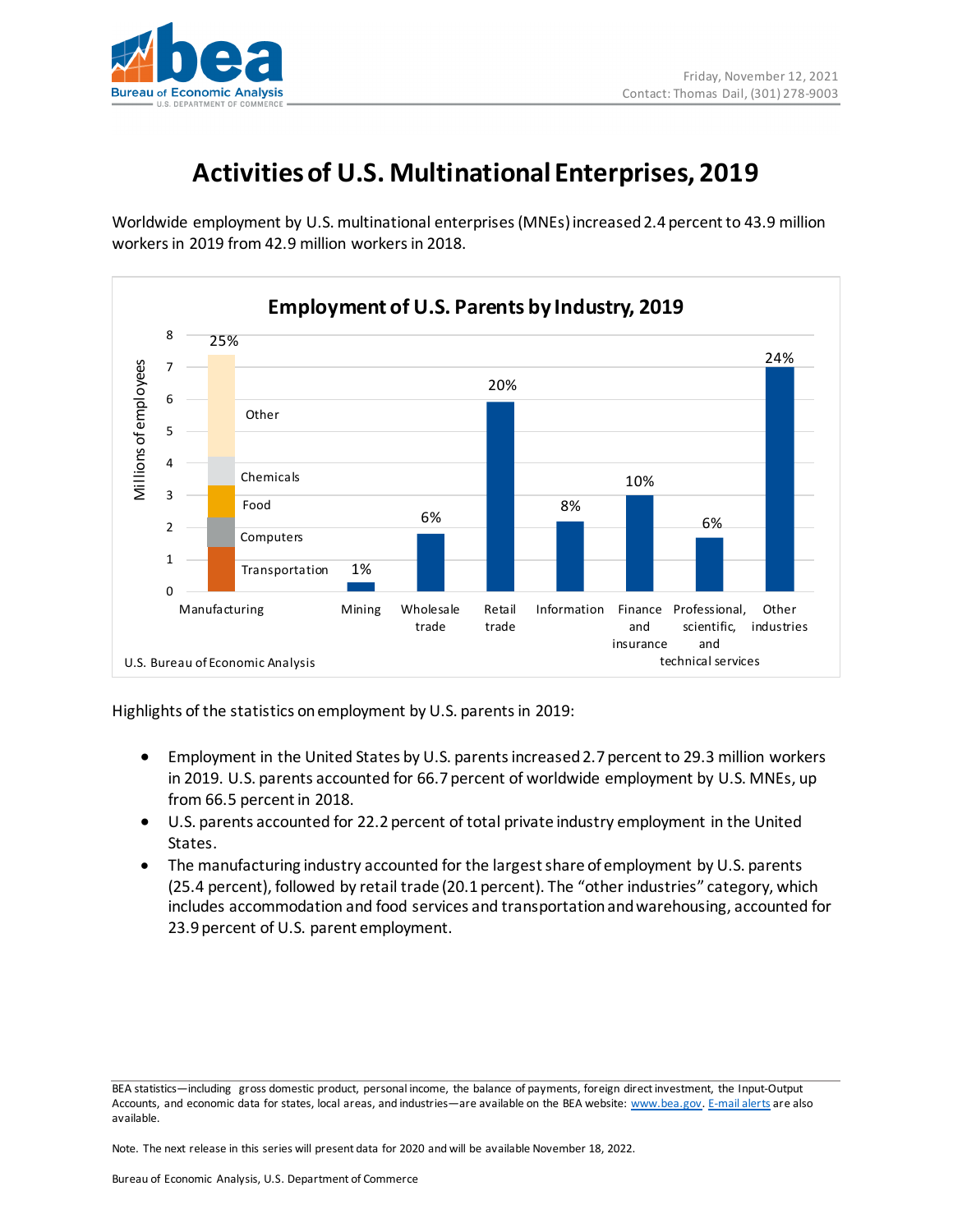

## **Activities of U.S. Multinational Enterprises, 2019**

Worldwide employment by U.S. multinational enterprises (MNEs) increased 2.4 percent to 43.9 million workers in 2019 from 42.9 million workersin 2018.



Highlights of the statistics on employment by U.S. parents in 2019:

- Employment in the United States by U.S. parents increased 2.7 percent to 29.3 million workers in 2019. U.S. parents accounted for 66.7 percent of worldwide employment by U.S. MNEs, up from 66.5 percent in 2018.
- U.S. parents accounted for 22.2 percent of total private industry employment in the United States.
- The manufacturing industry accounted for the largest share of employment by U.S. parents (25.4 percent), followed by retail trade (20.1 percent). The "other industries" category, which includes accommodation and food services and transportation and warehousing, accounted for 23.9 percent of U.S. parent employment.

BEA statistics—including gross domestic product, personal income, the balance of payments, foreign direct investment, the Input-Output Accounts, and economic data for states, local areas, and industries—are available on the BEA website: [www.bea.gov.](http://www.bea.gov/) [E-mail alerts](http://www.bea.gov/_subscribe/index_vocus.htm) are also available.

Note. The next release in this series will present data for 2020 and will be available November 18, 2022.